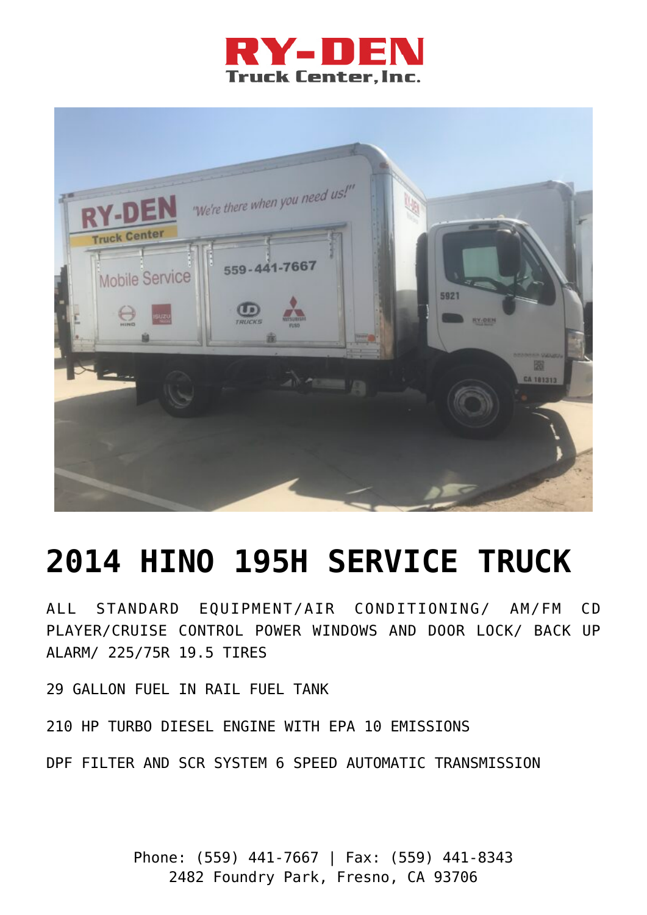



## **[2014 HINO 195H SERVICE TRUCK](https://ry-den.com/product/used-2014-hino-195h-hybrid-electric-diesel-truck-stock5921/)**

ALL STANDARD EQUIPMENT/AIR CONDITIONING/ AM/FM CD PLAYER/CRUISE CONTROL POWER WINDOWS AND DOOR LOCK/ BACK UP ALARM/ 225/75R 19.5 TIRES

29 GALLON FUEL IN RAIL FUEL TANK

210 HP TURBO DIESEL ENGINE WITH EPA 10 EMISSIONS

DPF FILTER AND SCR SYSTEM 6 SPEED AUTOMATIC TRANSMISSION

Phone: (559) 441-7667 | Fax: (559) 441-8343 2482 Foundry Park, Fresno, CA 93706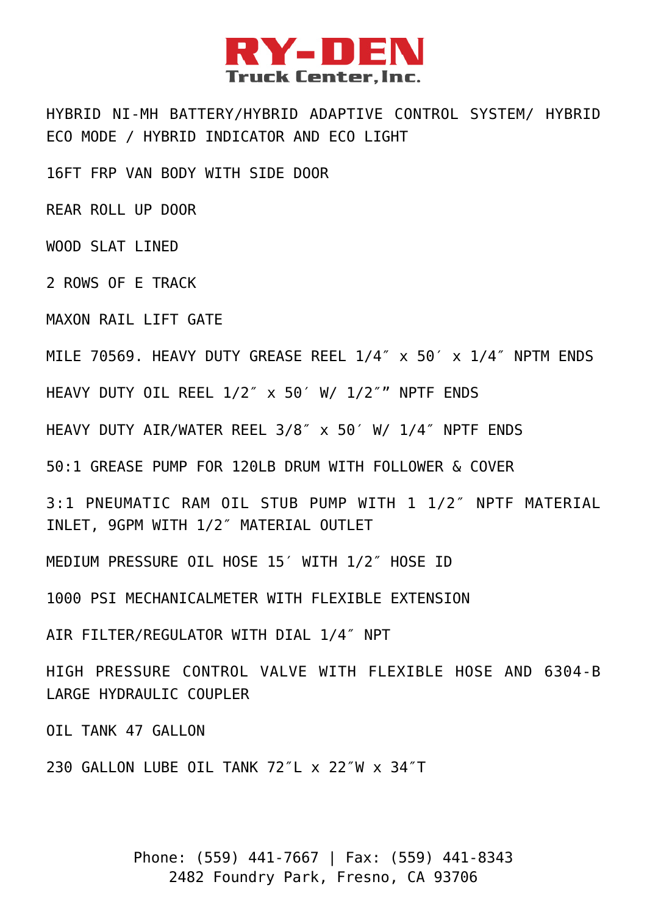

HYBRID NI-MH BATTERY/HYBRID ADAPTIVE CONTROL SYSTEM/ HYBRID ECO MODE / HYBRID INDICATOR AND ECO LIGHT

16FT FRP VAN BODY WITH SIDE DOOR

REAR ROLL UP DOOR

WOOD SLAT LINED

2 ROWS OF E TRACK

MAXON RATI LIFT GATE

MILE 70569. HEAVY DUTY GREASE REEL 1/4″ x 50′ x 1/4″ NPTM ENDS

HEAVY DUTY OIL REEL 1/2″ x 50′ W/ 1/2″" NPTF ENDS

HEAVY DUTY AIR/WATER REEL 3/8″ x 50′ W/ 1/4″ NPTF ENDS

50:1 GREASE PUMP FOR 120LB DRUM WITH FOLLOWER & COVER

3:1 PNEUMATIC RAM OIL STUB PUMP WITH 1 1/2″ NPTF MATERIAL INLET, 9GPM WITH 1/2″ MATERIAL OUTLET

MEDIUM PRESSURE OIL HOSE 15′ WITH 1/2″ HOSE ID

1000 PSI MECHANICALMETER WITH FLEXIBLE EXTENSION

AIR FILTER/REGULATOR WITH DIAL 1/4″ NPT

HIGH PRESSURE CONTROL VALVE WITH FLEXIBLE HOSE AND 6304-B LARGE HYDRAULIC COUPLER

OIL TANK 47 GALLON

230 GALLON LUBE OIL TANK 72″L x 22″W x 34″T

Phone: (559) 441-7667 | Fax: (559) 441-8343 2482 Foundry Park, Fresno, CA 93706